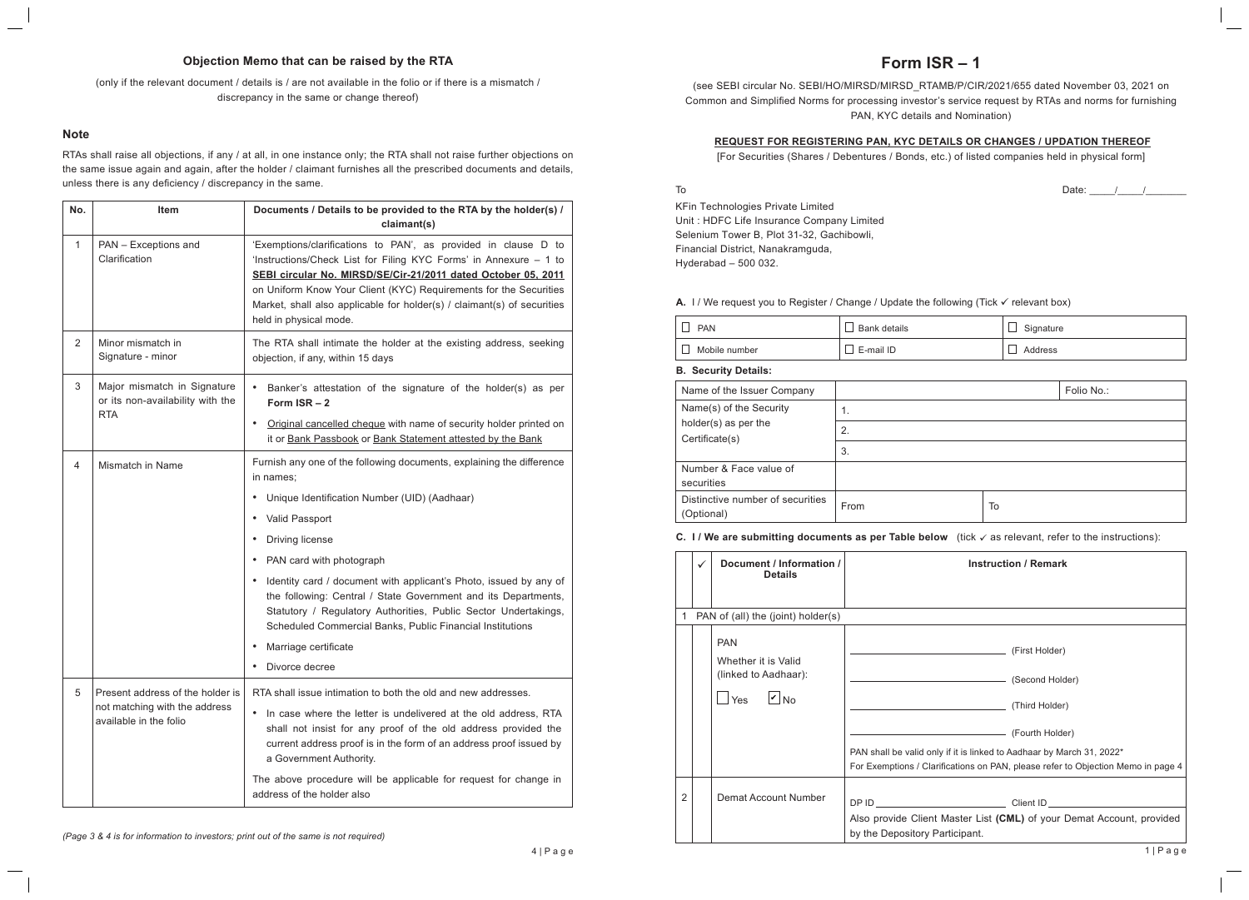# **Form ISR – 1**

(see SEBI circular No. SEBI/HO/MIRSD/MIRSD\_RTAMB/P/CIR/2021/655 dated November 03, 2021 on Common and Simplified Norms for processing investor's service request by RTAs and norms for furnishing PAN, KYC details and Nomination)

#### **REQUEST FOR REGISTERING PAN, KYC DETAILS OR CHANGES / UPDATION THEREOF**

[For Securities (Shares / Debentures / Bonds, etc.) of listed companies held in physical form]

To

Date:  $\frac{1}{2}$  /  $\frac{1}{2}$ 

KFin Technologies Private Limited Unit : HDFC Life Insurance Company Limited Selenium Tower B, Plot 31-32, Gachibowli, Financial District, Nanakramguda, Hyderabad – 500 032.

#### **A.** I / We request you to Register / Change / Update the following (Tick  $\checkmark$  relevant box)

| <b>PAN</b>    | <b>Bank details</b> | Signature |
|---------------|---------------------|-----------|
| Mobile number | E-mail ID           | Address   |

**B. Security Details:**

| Name of the Issuer Company                     |      |    | Folio No.: |
|------------------------------------------------|------|----|------------|
| Name(s) of the Security                        | 1.   |    |            |
| holder(s) as per the<br>Certificate(s)         | 2.   |    |            |
|                                                | 3.   |    |            |
| Number & Face value of<br>securities           |      |    |            |
| Distinctive number of securities<br>(Optional) | From | To |            |

#### **C.** I / We are submitting documents as per Table below (tick  $\checkmark$  as relevant, refer to the instructions):

|                | $\checkmark$ | Document / Information /<br><b>Details</b>                                                      | <b>Instruction / Remark</b>                                                                                                                                                                |
|----------------|--------------|-------------------------------------------------------------------------------------------------|--------------------------------------------------------------------------------------------------------------------------------------------------------------------------------------------|
| 1              |              | PAN of (all) the (joint) holder(s)                                                              |                                                                                                                                                                                            |
|                |              | <b>PAN</b><br>Whether it is Valid<br>(linked to Aadhaar):<br>$ v _{\text{No}}$<br>$\exists$ Yes | (Third Holder) (Third Holder)<br>PAN shall be valid only if it is linked to Aadhaar by March 31, 2022*<br>For Exemptions / Clarifications on PAN, please refer to Objection Memo in page 4 |
| $\overline{2}$ |              | Demat Account Number                                                                            |                                                                                                                                                                                            |
|                |              |                                                                                                 | Also provide Client Master List (CML) of your Demat Account, provided<br>by the Depository Participant.                                                                                    |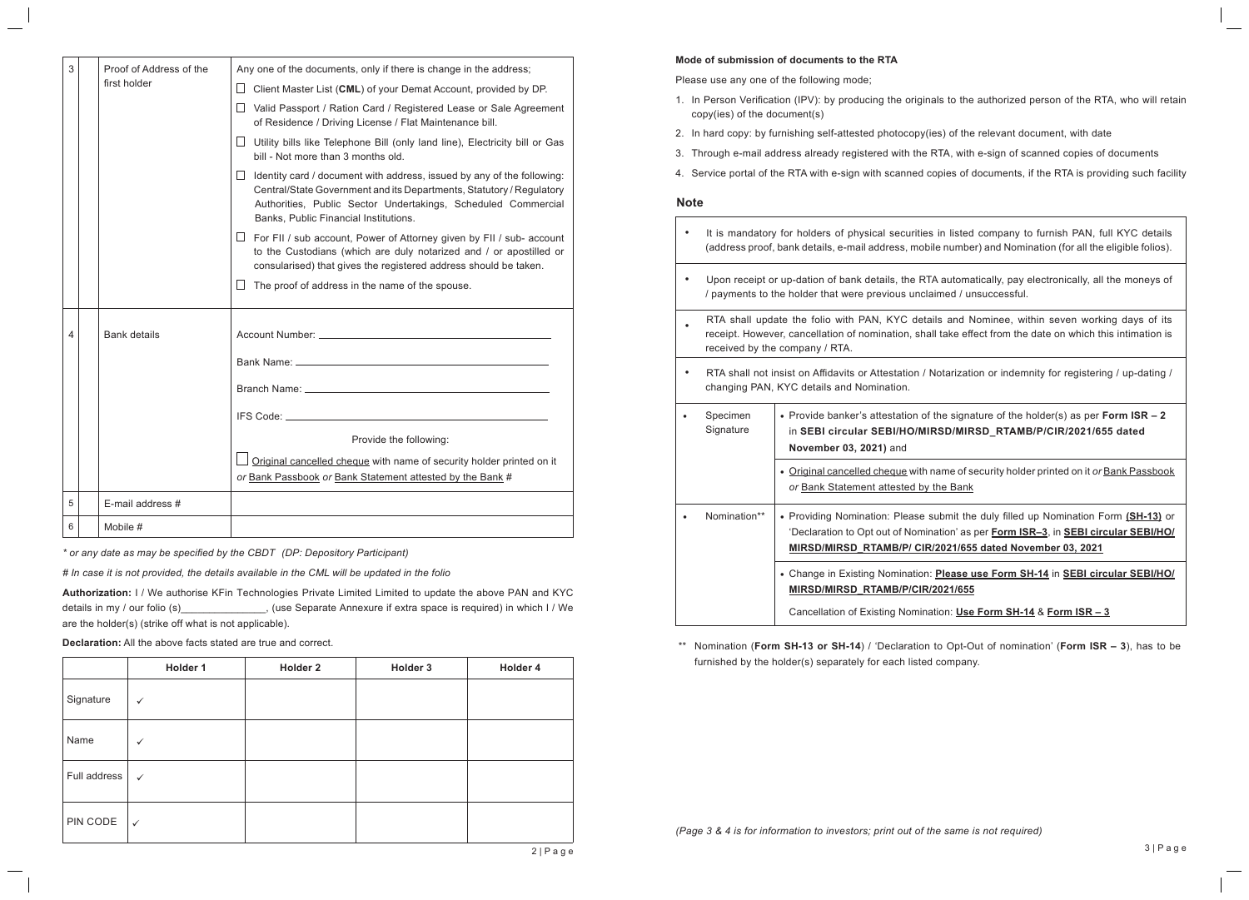| 3 | Proof of Address of the<br>first holder | Any one of the documents, only if there is change in the address;<br>$\Box$ Client Master List (CML) of your Demat Account, provided by DP.<br>□ Valid Passport / Ration Card / Registered Lease or Sale Agreement<br>of Residence / Driving License / Flat Maintenance bill.<br>Utility bills like Telephone Bill (only land line), Electricity bill or Gas<br>$\Box$<br>bill - Not more than 3 months old.<br>$\Box$ Identity card / document with address, issued by any of the following: |  |
|---|-----------------------------------------|-----------------------------------------------------------------------------------------------------------------------------------------------------------------------------------------------------------------------------------------------------------------------------------------------------------------------------------------------------------------------------------------------------------------------------------------------------------------------------------------------|--|
|   |                                         | Central/State Government and its Departments, Statutory / Regulatory<br>Authorities, Public Sector Undertakings, Scheduled Commercial<br>Banks, Public Financial Institutions.                                                                                                                                                                                                                                                                                                                |  |
|   |                                         | $\Box$ For FII / sub account, Power of Attorney given by FII / sub- account<br>to the Custodians (which are duly notarized and / or apostilled or<br>consularised) that gives the registered address should be taken.                                                                                                                                                                                                                                                                         |  |
|   |                                         | $\perp$<br>The proof of address in the name of the spouse.                                                                                                                                                                                                                                                                                                                                                                                                                                    |  |
| 4 | <b>Bank details</b>                     | Provide the following:<br>Original cancelled cheque with name of security holder printed on it<br>or Bank Passbook or Bank Statement attested by the Bank #                                                                                                                                                                                                                                                                                                                                   |  |
|   |                                         |                                                                                                                                                                                                                                                                                                                                                                                                                                                                                               |  |
| 5 | E-mail address #                        |                                                                                                                                                                                                                                                                                                                                                                                                                                                                                               |  |
| 6 | Mobile #                                |                                                                                                                                                                                                                                                                                                                                                                                                                                                                                               |  |

*\* or any date as may be specified by the CBDT (DP: Depository Participant)*

*# In case it is not provided, the details available in the CML will be updated in the folio*

**Authorization:** I / We authorise KFin Technologies Private Limited Limited to update the above PAN and KYC details in my / our folio (s) \_\_\_\_\_\_\_\_\_\_\_\_\_, (use Separate Annexure if extra space is required) in which I / We are the holder(s) (strike off what is not applicable).

**Declaration:** All the above facts stated are true and correct.

|              | Holder 1     | Holder 2 | Holder 3 | Holder 4 |
|--------------|--------------|----------|----------|----------|
| Signature    | $\checkmark$ |          |          |          |
| Name         | $\checkmark$ |          |          |          |
| Full address | $\checkmark$ |          |          |          |
| PIN CODE     | $\checkmark$ |          |          |          |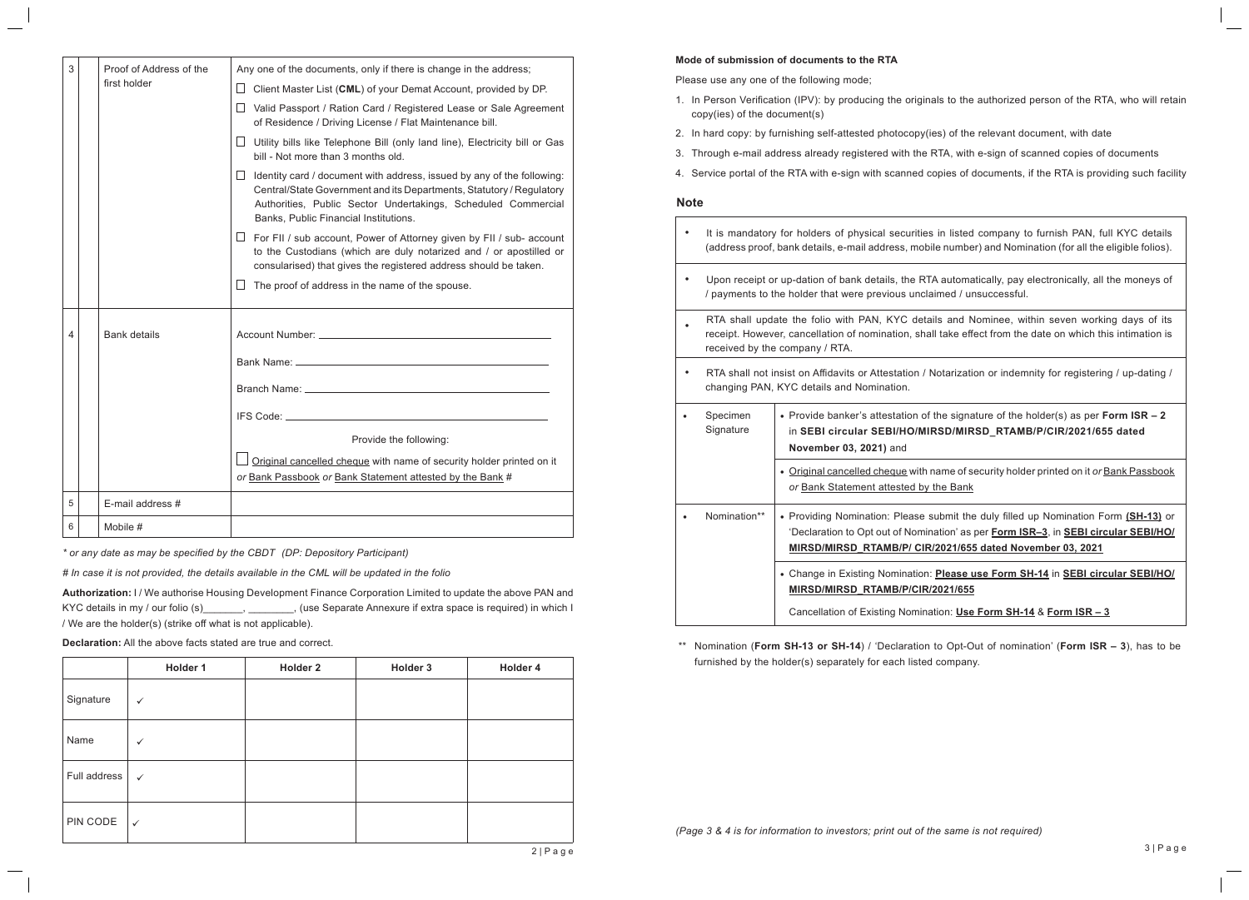#### **Mode of submission of documents to the RTA**

Please use any one of the following mode;

- 1. In Person Verification (IPV): by producing the originals to the authorized person of the RTA, who will retain copy(ies) of the document(s)
- 2. In hard copy: by furnishing self-attested photocopy(ies) of the relevant document, with date
- 3. Through e-mail address already registered with the RTA, with e-sign of scanned copies of documents
- 4. Service portal of the RTA with e-sign with scanned copies of documents, if the RTA is providing such facility

### **Note**

|           | It is mandatory for holders of physical securities in listed company to furnish PAN, full KYC details<br>(address proof, bank details, e-mail address, mobile number) and Nomination (for all the eligible folios).                           |                                                                                                                                                                                                                                         |  |
|-----------|-----------------------------------------------------------------------------------------------------------------------------------------------------------------------------------------------------------------------------------------------|-----------------------------------------------------------------------------------------------------------------------------------------------------------------------------------------------------------------------------------------|--|
|           | Upon receipt or up-dation of bank details, the RTA automatically, pay electronically, all the moneys of<br>/ payments to the holder that were previous unclaimed / unsuccessful.                                                              |                                                                                                                                                                                                                                         |  |
|           | RTA shall update the folio with PAN, KYC details and Nominee, within seven working days of its<br>receipt. However, cancellation of nomination, shall take effect from the date on which this intimation is<br>received by the company / RTA. |                                                                                                                                                                                                                                         |  |
|           | RTA shall not insist on Affidavits or Attestation / Notarization or indemnity for registering / up-dating /<br>changing PAN, KYC details and Nomination.                                                                                      |                                                                                                                                                                                                                                         |  |
|           | Specimen<br>Signature                                                                                                                                                                                                                         | • Provide banker's attestation of the signature of the holder(s) as per Form $ISR - 2$<br>in SEBI circular SEBI/HO/MIRSD/MIRSD_RTAMB/P/CIR/2021/655 dated<br>November 03, 2021) and                                                     |  |
|           |                                                                                                                                                                                                                                               | . Original cancelled cheque with name of security holder printed on it or Bank Passbook<br>or Bank Statement attested by the Bank                                                                                                       |  |
| $\bullet$ | Nomination**                                                                                                                                                                                                                                  | • Providing Nomination: Please submit the duly filled up Nomination Form (SH-13) or<br>'Declaration to Opt out of Nomination' as per Form ISR-3, in SEBI circular SEBI/HO/<br>MIRSD/MIRSD RTAMB/P/ CIR/2021/655 dated November 03, 2021 |  |
|           |                                                                                                                                                                                                                                               | • Change in Existing Nomination: Please use Form SH-14 in SEBI circular SEBI/HO/<br>MIRSD/MIRSD RTAMB/P/CIR/2021/655                                                                                                                    |  |
|           |                                                                                                                                                                                                                                               | Cancellation of Existing Nomination: Use Form SH-14 & Form ISR - 3                                                                                                                                                                      |  |

\*\* Nomination (**Form SH-13 or SH-14**) / 'Declaration to Opt-Out of nomination' (**Form ISR – 3**), has to be furnished by the holder(s) separately for each listed company.